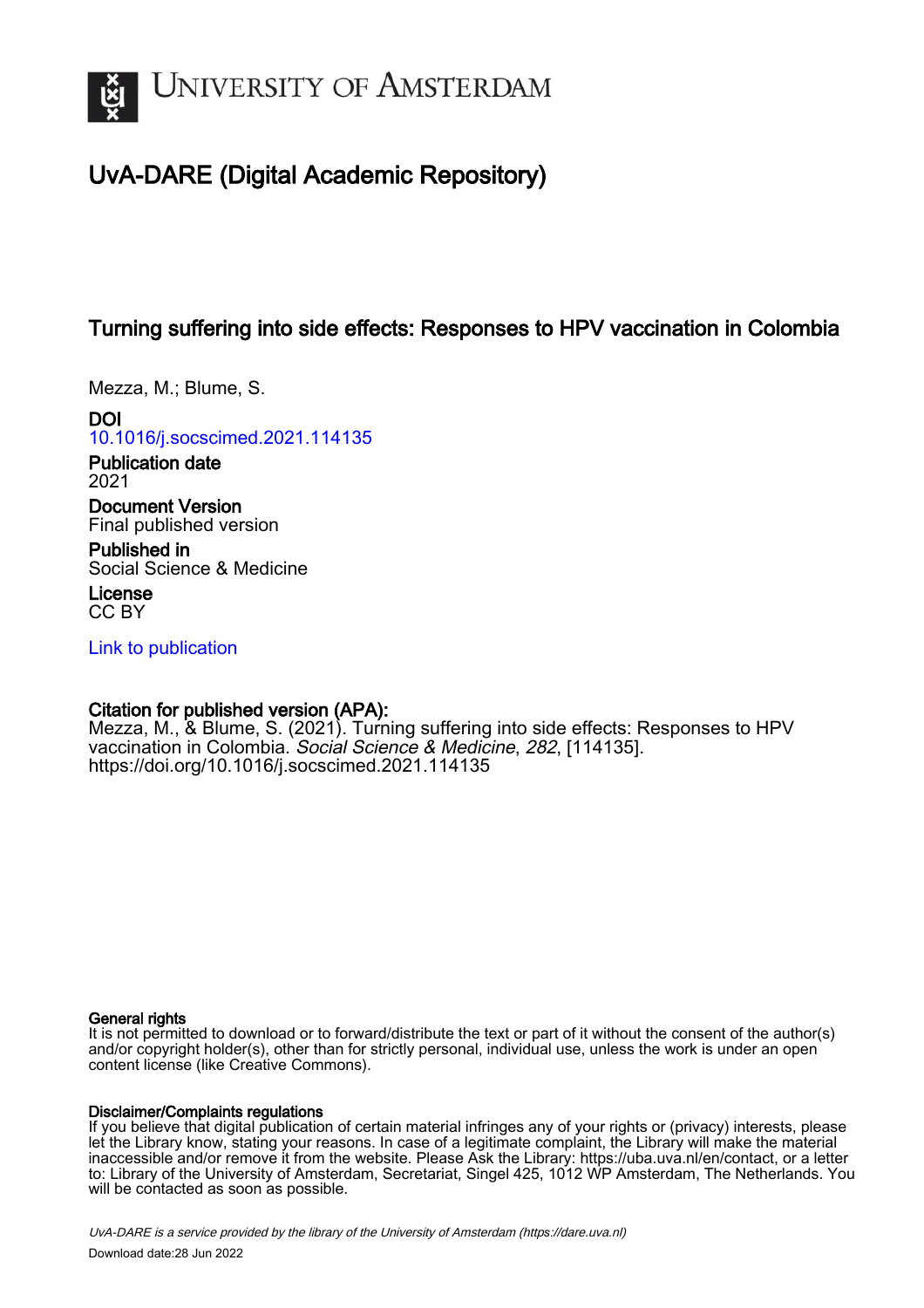

# UvA-DARE (Digital Academic Repository)

# Turning suffering into side effects: Responses to HPV vaccination in Colombia

Mezza, M.; Blume, S.

DOI [10.1016/j.socscimed.2021.114135](https://doi.org/10.1016/j.socscimed.2021.114135)

Publication date 2021

Document Version Final published version

Published in Social Science & Medicine

License CC BY

[Link to publication](https://dare.uva.nl/personal/pure/en/publications/turning-suffering-into-side-effects-responses-to-hpv-vaccination-in-colombia(d016371b-37b8-4f8c-96ae-ab27a0e2b2c9).html)

# Citation for published version (APA):

Mezza, M., & Blume, S. (2021). Turning suffering into side effects: Responses to HPV vaccination in Colombia. Social Science & Medicine, 282, [114135]. <https://doi.org/10.1016/j.socscimed.2021.114135>

# General rights

It is not permitted to download or to forward/distribute the text or part of it without the consent of the author(s) and/or copyright holder(s), other than for strictly personal, individual use, unless the work is under an open content license (like Creative Commons).

# Disclaimer/Complaints regulations

If you believe that digital publication of certain material infringes any of your rights or (privacy) interests, please let the Library know, stating your reasons. In case of a legitimate complaint, the Library will make the material inaccessible and/or remove it from the website. Please Ask the Library: https://uba.uva.nl/en/contact, or a letter to: Library of the University of Amsterdam, Secretariat, Singel 425, 1012 WP Amsterdam, The Netherlands. You will be contacted as soon as possible.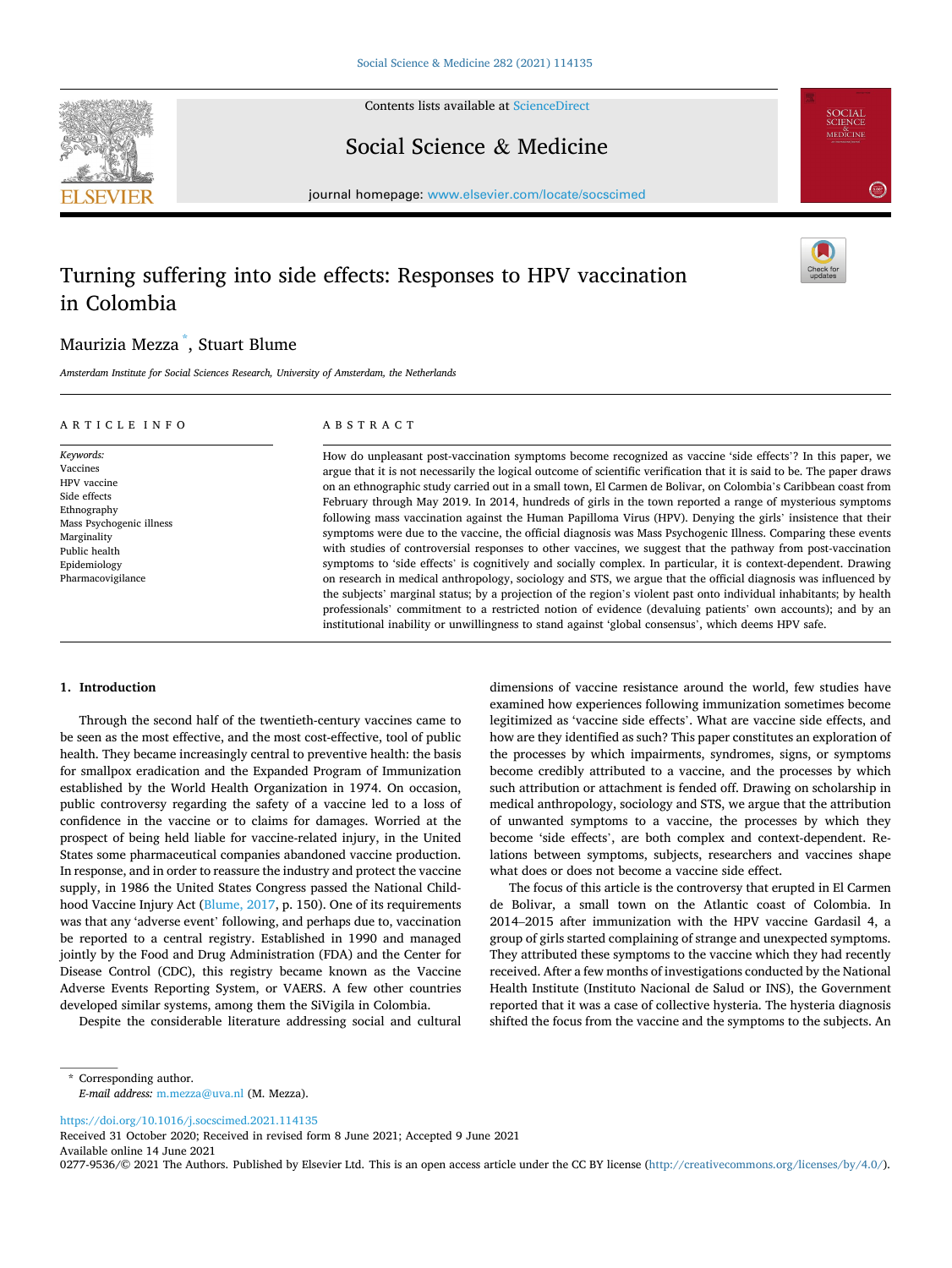

Contents lists available at [ScienceDirect](www.sciencedirect.com/science/journal/02779536)

Social Science & Medicine



journal homepage: [www.elsevier.com/locate/socscimed](https://www.elsevier.com/locate/socscimed)

# Turning suffering into side effects: Responses to HPV vaccination in Colombia

# Maurizia Mezza \* , Stuart Blume

*Amsterdam Institute for Social Sciences Research, University of Amsterdam, the Netherlands* 

#### ARTICLE INFO

#### ABSTRACT

*Keywords:*  Vaccines HPV vaccine Side effects Ethnography Mass Psychogenic illness Marginality Public health Epidemiology Pharmacovigilance

How do unpleasant post-vaccination symptoms become recognized as vaccine 'side effects'? In this paper, we argue that it is not necessarily the logical outcome of scientific verification that it is said to be. The paper draws on an ethnographic study carried out in a small town, El Carmen de Bolivar, on Colombia's Caribbean coast from February through May 2019. In 2014, hundreds of girls in the town reported a range of mysterious symptoms following mass vaccination against the Human Papilloma Virus (HPV). Denying the girls' insistence that their symptoms were due to the vaccine, the official diagnosis was Mass Psychogenic Illness. Comparing these events with studies of controversial responses to other vaccines, we suggest that the pathway from post-vaccination symptoms to 'side effects' is cognitively and socially complex. In particular, it is context-dependent. Drawing on research in medical anthropology, sociology and STS, we argue that the official diagnosis was influenced by the subjects' marginal status; by a projection of the region's violent past onto individual inhabitants; by health professionals' commitment to a restricted notion of evidence (devaluing patients' own accounts); and by an institutional inability or unwillingness to stand against 'global consensus', which deems HPV safe.

#### **1. Introduction**

Through the second half of the twentieth-century vaccines came to be seen as the most effective, and the most cost-effective, tool of public health. They became increasingly central to preventive health: the basis for smallpox eradication and the Expanded Program of Immunization established by the World Health Organization in 1974. On occasion, public controversy regarding the safety of a vaccine led to a loss of confidence in the vaccine or to claims for damages. Worried at the prospect of being held liable for vaccine-related injury, in the United States some pharmaceutical companies abandoned vaccine production. In response, and in order to reassure the industry and protect the vaccine supply, in 1986 the United States Congress passed the National Childhood Vaccine Injury Act ([Blume, 2017](#page-7-0), p. 150). One of its requirements was that any 'adverse event' following, and perhaps due to, vaccination be reported to a central registry. Established in 1990 and managed jointly by the Food and Drug Administration (FDA) and the Center for Disease Control (CDC), this registry became known as the Vaccine Adverse Events Reporting System, or VAERS. A few other countries developed similar systems, among them the SiVigila in Colombia.

Despite the considerable literature addressing social and cultural

dimensions of vaccine resistance around the world, few studies have examined how experiences following immunization sometimes become legitimized as 'vaccine side effects'. What are vaccine side effects, and how are they identified as such? This paper constitutes an exploration of the processes by which impairments, syndromes, signs, or symptoms become credibly attributed to a vaccine, and the processes by which such attribution or attachment is fended off. Drawing on scholarship in medical anthropology, sociology and STS, we argue that the attribution of unwanted symptoms to a vaccine, the processes by which they become 'side effects', are both complex and context-dependent. Relations between symptoms, subjects, researchers and vaccines shape what does or does not become a vaccine side effect.

The focus of this article is the controversy that erupted in El Carmen de Bolivar, a small town on the Atlantic coast of Colombia. In 2014–2015 after immunization with the HPV vaccine Gardasil 4, a group of girls started complaining of strange and unexpected symptoms. They attributed these symptoms to the vaccine which they had recently received. After a few months of investigations conducted by the National Health Institute (Instituto Nacional de Salud or INS), the Government reported that it was a case of collective hysteria. The hysteria diagnosis shifted the focus from the vaccine and the symptoms to the subjects. An

<https://doi.org/10.1016/j.socscimed.2021.114135>

Available online 14 June 2021 Received 31 October 2020; Received in revised form 8 June 2021; Accepted 9 June 2021

<sup>\*</sup> Corresponding author. *E-mail address:* [m.mezza@uva.nl](mailto:m.mezza@uva.nl) (M. Mezza).

<sup>0277-9536/© 2021</sup> The Authors. Published by Elsevier Ltd. This is an open access article under the CC BY license [\(http://creativecommons.org/licenses/by/4.0/\)](http://creativecommons.org/licenses/by/4.0/).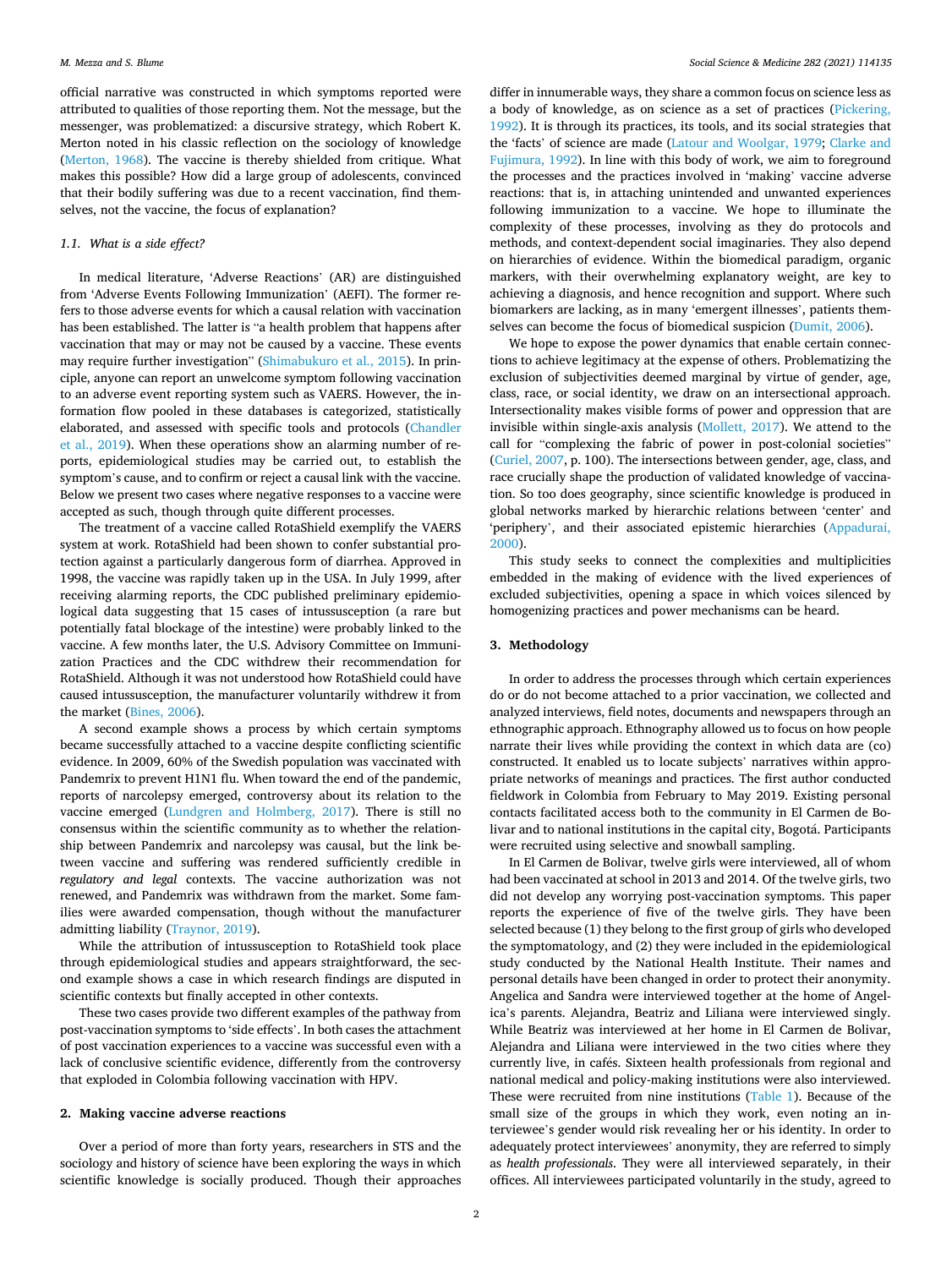official narrative was constructed in which symptoms reported were attributed to qualities of those reporting them. Not the message, but the messenger, was problematized: a discursive strategy, which Robert K. Merton noted in his classic reflection on the sociology of knowledge ([Merton, 1968\)](#page-8-0). The vaccine is thereby shielded from critique. What makes this possible? How did a large group of adolescents, convinced that their bodily suffering was due to a recent vaccination, find themselves, not the vaccine, the focus of explanation?

### *1.1. What is a side effect?*

In medical literature, 'Adverse Reactions' (AR) are distinguished from 'Adverse Events Following Immunization' (AEFI). The former refers to those adverse events for which a causal relation with vaccination has been established. The latter is "a health problem that happens after vaccination that may or may not be caused by a vaccine. These events may require further investigation" [\(Shimabukuro et al., 2015](#page-8-0)). In principle, anyone can report an unwelcome symptom following vaccination to an adverse event reporting system such as VAERS. However, the information flow pooled in these databases is categorized, statistically elaborated, and assessed with specific tools and protocols ([Chandler](#page-7-0)  [et al., 2019\)](#page-7-0). When these operations show an alarming number of reports, epidemiological studies may be carried out, to establish the symptom's cause, and to confirm or reject a causal link with the vaccine. Below we present two cases where negative responses to a vaccine were accepted as such, though through quite different processes.

The treatment of a vaccine called RotaShield exemplify the VAERS system at work. RotaShield had been shown to confer substantial protection against a particularly dangerous form of diarrhea. Approved in 1998, the vaccine was rapidly taken up in the USA. In July 1999, after receiving alarming reports, the CDC published preliminary epidemiological data suggesting that 15 cases of intussusception (a rare but potentially fatal blockage of the intestine) were probably linked to the vaccine. A few months later, the U.S. Advisory Committee on Immunization Practices and the CDC withdrew their recommendation for RotaShield. Although it was not understood how RotaShield could have caused intussusception, the manufacturer voluntarily withdrew it from the market [\(Bines, 2006\)](#page-7-0).

A second example shows a process by which certain symptoms became successfully attached to a vaccine despite conflicting scientific evidence. In 2009, 60% of the Swedish population was vaccinated with Pandemrix to prevent H1N1 flu. When toward the end of the pandemic, reports of narcolepsy emerged, controversy about its relation to the vaccine emerged ([Lundgren and Holmberg, 2017](#page-8-0)). There is still no consensus within the scientific community as to whether the relationship between Pandemrix and narcolepsy was causal, but the link between vaccine and suffering was rendered sufficiently credible in *regulatory and legal* contexts. The vaccine authorization was not renewed, and Pandemrix was withdrawn from the market. Some families were awarded compensation, though without the manufacturer admitting liability [\(Traynor, 2019\)](#page-8-0).

While the attribution of intussusception to RotaShield took place through epidemiological studies and appears straightforward, the second example shows a case in which research findings are disputed in scientific contexts but finally accepted in other contexts.

These two cases provide two different examples of the pathway from post-vaccination symptoms to 'side effects'. In both cases the attachment of post vaccination experiences to a vaccine was successful even with a lack of conclusive scientific evidence, differently from the controversy that exploded in Colombia following vaccination with HPV.

## **2. Making vaccine adverse reactions**

Over a period of more than forty years, researchers in STS and the sociology and history of science have been exploring the ways in which scientific knowledge is socially produced. Though their approaches

differ in innumerable ways, they share a common focus on science less as a body of knowledge, as on science as a set of practices [\(Pickering,](#page-8-0)  [1992\)](#page-8-0). It is through its practices, its tools, and its social strategies that the 'facts' of science are made [\(Latour and Woolgar, 1979](#page-8-0); [Clarke and](#page-7-0)  [Fujimura, 1992](#page-7-0)). In line with this body of work, we aim to foreground the processes and the practices involved in 'making' vaccine adverse reactions: that is, in attaching unintended and unwanted experiences following immunization to a vaccine. We hope to illuminate the complexity of these processes, involving as they do protocols and methods, and context-dependent social imaginaries. They also depend on hierarchies of evidence. Within the biomedical paradigm, organic markers, with their overwhelming explanatory weight, are key to achieving a diagnosis, and hence recognition and support. Where such biomarkers are lacking, as in many 'emergent illnesses', patients themselves can become the focus of biomedical suspicion ([Dumit, 2006](#page-7-0)).

We hope to expose the power dynamics that enable certain connections to achieve legitimacy at the expense of others. Problematizing the exclusion of subjectivities deemed marginal by virtue of gender, age, class, race, or social identity, we draw on an intersectional approach. Intersectionality makes visible forms of power and oppression that are invisible within single-axis analysis [\(Mollett, 2017](#page-8-0)). We attend to the call for "complexing the fabric of power in post-colonial societies" ([Curiel, 2007](#page-7-0), p. 100). The intersections between gender, age, class, and race crucially shape the production of validated knowledge of vaccination. So too does geography, since scientific knowledge is produced in global networks marked by hierarchic relations between 'center' and 'periphery', and their associated epistemic hierarchies [\(Appadurai,](#page-7-0)  [2000\)](#page-7-0).

This study seeks to connect the complexities and multiplicities embedded in the making of evidence with the lived experiences of excluded subjectivities, opening a space in which voices silenced by homogenizing practices and power mechanisms can be heard.

## **3. Methodology**

In order to address the processes through which certain experiences do or do not become attached to a prior vaccination, we collected and analyzed interviews, field notes, documents and newspapers through an ethnographic approach. Ethnography allowed us to focus on how people narrate their lives while providing the context in which data are (co) constructed. It enabled us to locate subjects' narratives within appropriate networks of meanings and practices. The first author conducted fieldwork in Colombia from February to May 2019. Existing personal contacts facilitated access both to the community in El Carmen de Bolivar and to national institutions in the capital city, Bogotá. Participants were recruited using selective and snowball sampling.

In El Carmen de Bolivar, twelve girls were interviewed, all of whom had been vaccinated at school in 2013 and 2014. Of the twelve girls, two did not develop any worrying post-vaccination symptoms. This paper reports the experience of five of the twelve girls. They have been selected because (1) they belong to the first group of girls who developed the symptomatology, and (2) they were included in the epidemiological study conducted by the National Health Institute. Their names and personal details have been changed in order to protect their anonymity. Angelica and Sandra were interviewed together at the home of Angelica's parents. Alejandra, Beatriz and Liliana were interviewed singly. While Beatriz was interviewed at her home in El Carmen de Bolivar, Alejandra and Liliana were interviewed in the two cities where they currently live, in cafés. Sixteen health professionals from regional and national medical and policy-making institutions were also interviewed. These were recruited from nine institutions ([Table 1\)](#page-3-0). Because of the small size of the groups in which they work, even noting an interviewee's gender would risk revealing her or his identity. In order to adequately protect interviewees' anonymity, they are referred to simply as *health professionals*. They were all interviewed separately, in their offices. All interviewees participated voluntarily in the study, agreed to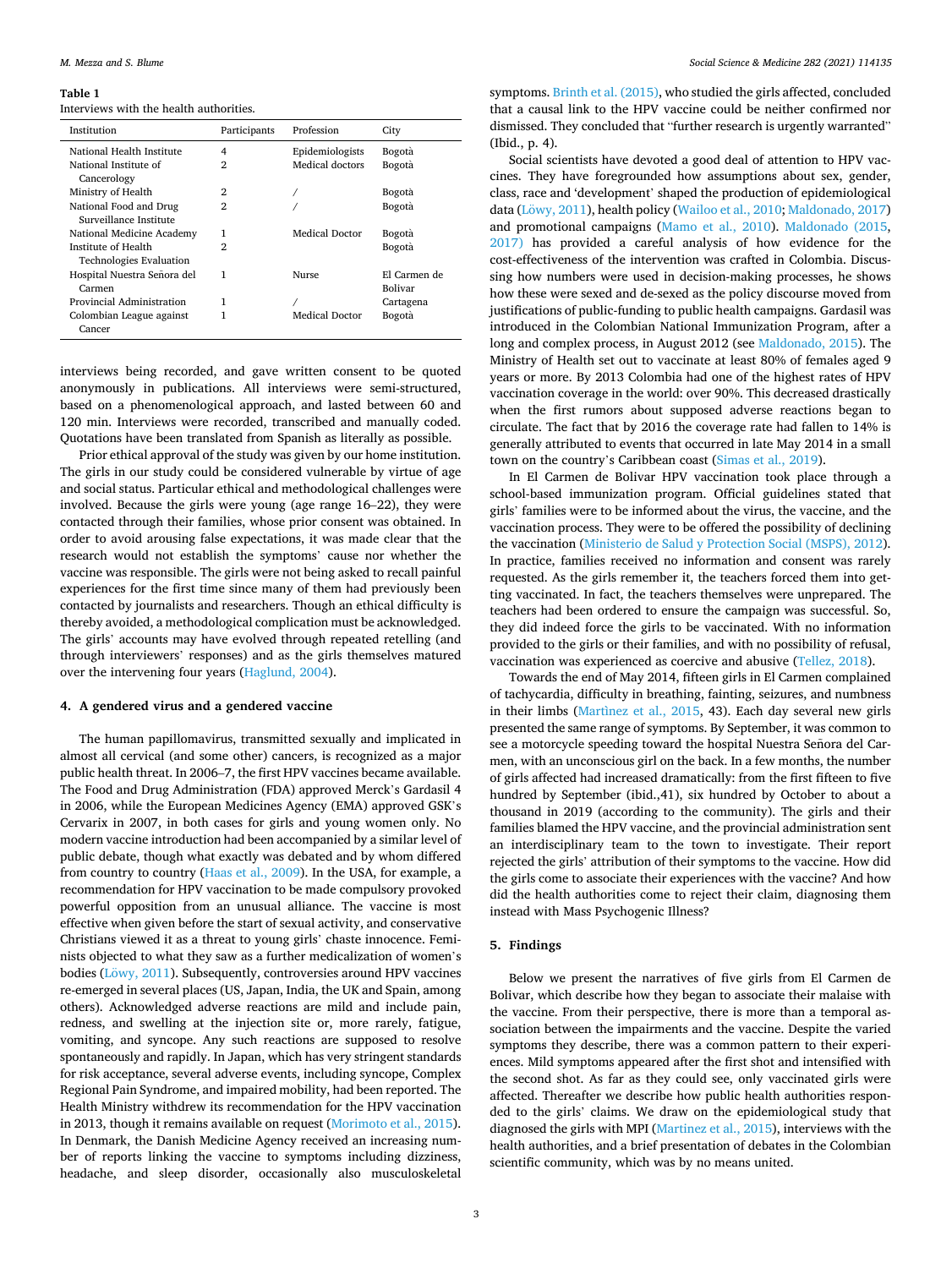#### <span id="page-3-0"></span>**Table 1**

#### Interviews with the health authorities.

| Institution                                           | Participants   | Profession      | City                    |
|-------------------------------------------------------|----------------|-----------------|-------------------------|
| National Health Institute                             | 4              | Epidemiologists | Bogotà                  |
| National Institute of<br>Cancerology                  | $\overline{2}$ | Medical doctors | Bogotà                  |
| Ministry of Health                                    | 2              |                 | Bogotà                  |
| National Food and Drug<br>Surveillance Institute      | $\mathfrak{D}$ |                 | Bogotà                  |
| National Medicine Academy                             | 1              | Medical Doctor  | Bogotà                  |
| Institute of Health<br><b>Technologies Evaluation</b> | $\overline{2}$ |                 | Bogotà                  |
| Hospital Nuestra Señora del<br>Carmen                 | 1              | Nurse           | El Carmen de<br>Bolivar |
| Provincial Administration                             | 1              |                 | Cartagena               |
| Colombian League against<br>Cancer                    | 1              | Medical Doctor  | Bogotà                  |

interviews being recorded, and gave written consent to be quoted anonymously in publications. All interviews were semi-structured, based on a phenomenological approach, and lasted between 60 and 120 min. Interviews were recorded, transcribed and manually coded. Quotations have been translated from Spanish as literally as possible.

Prior ethical approval of the study was given by our home institution. The girls in our study could be considered vulnerable by virtue of age and social status. Particular ethical and methodological challenges were involved. Because the girls were young (age range 16–22), they were contacted through their families, whose prior consent was obtained. In order to avoid arousing false expectations, it was made clear that the research would not establish the symptoms' cause nor whether the vaccine was responsible. The girls were not being asked to recall painful experiences for the first time since many of them had previously been contacted by journalists and researchers. Though an ethical difficulty is thereby avoided, a methodological complication must be acknowledged. The girls' accounts may have evolved through repeated retelling (and through interviewers' responses) and as the girls themselves matured over the intervening four years ([Haglund, 2004](#page-8-0)).

#### **4. A gendered virus and a gendered vaccine**

The human papillomavirus, transmitted sexually and implicated in almost all cervical (and some other) cancers, is recognized as a major public health threat. In 2006–7, the first HPV vaccines became available. The Food and Drug Administration (FDA) approved Merck's Gardasil 4 in 2006, while the European Medicines Agency (EMA) approved GSK's Cervarix in 2007, in both cases for girls and young women only. No modern vaccine introduction had been accompanied by a similar level of public debate, though what exactly was debated and by whom differed from country to country [\(Haas et al., 2009\)](#page-7-0). In the USA, for example, a recommendation for HPV vaccination to be made compulsory provoked powerful opposition from an unusual alliance. The vaccine is most effective when given before the start of sexual activity, and conservative Christians viewed it as a threat to young girls' chaste innocence. Feminists objected to what they saw as a further medicalization of women's bodies (Löwy, 2011). Subsequently, controversies around HPV vaccines re-emerged in several places (US, Japan, India, the UK and Spain, among others). Acknowledged adverse reactions are mild and include pain, redness, and swelling at the injection site or, more rarely, fatigue, vomiting, and syncope. Any such reactions are supposed to resolve spontaneously and rapidly. In Japan, which has very stringent standards for risk acceptance, several adverse events, including syncope, Complex Regional Pain Syndrome, and impaired mobility, had been reported. The Health Ministry withdrew its recommendation for the HPV vaccination in 2013, though it remains available on request [\(Morimoto et al., 2015](#page-8-0)). In Denmark, the Danish Medicine Agency received an increasing number of reports linking the vaccine to symptoms including dizziness, headache, and sleep disorder, occasionally also musculoskeletal

symptoms. [Brinth et al. \(2015\)](#page-7-0), who studied the girls affected, concluded that a causal link to the HPV vaccine could be neither confirmed nor dismissed. They concluded that "further research is urgently warranted" (Ibid., p. 4).

Social scientists have devoted a good deal of attention to HPV vaccines. They have foregrounded how assumptions about sex, gender, class, race and 'development' shaped the production of epidemiological data (Löwy, 2011), health policy [\(Wailoo et al., 2010](#page-8-0); [Maldonado, 2017\)](#page-8-0) and promotional campaigns [\(Mamo et al., 2010](#page-8-0)). [Maldonado \(2015](#page-8-0), [2017\)](#page-8-0) has provided a careful analysis of how evidence for the cost-effectiveness of the intervention was crafted in Colombia. Discussing how numbers were used in decision-making processes, he shows how these were sexed and de-sexed as the policy discourse moved from justifications of public-funding to public health campaigns. Gardasil was introduced in the Colombian National Immunization Program, after a long and complex process, in August 2012 (see [Maldonado, 2015\)](#page-8-0). The Ministry of Health set out to vaccinate at least 80% of females aged 9 years or more. By 2013 Colombia had one of the highest rates of HPV vaccination coverage in the world: over 90%. This decreased drastically when the first rumors about supposed adverse reactions began to circulate. The fact that by 2016 the coverage rate had fallen to 14% is generally attributed to events that occurred in late May 2014 in a small town on the country's Caribbean coast ([Simas et al., 2019\)](#page-8-0).

In El Carmen de Bolivar HPV vaccination took place through a school-based immunization program. Official guidelines stated that girls' families were to be informed about the virus, the vaccine, and the vaccination process. They were to be offered the possibility of declining the vaccination ([Ministerio de Salud y Protection Social \(MSPS\), 2012](#page-8-0)). In practice, families received no information and consent was rarely requested. As the girls remember it, the teachers forced them into getting vaccinated. In fact, the teachers themselves were unprepared. The teachers had been ordered to ensure the campaign was successful. So, they did indeed force the girls to be vaccinated. With no information provided to the girls or their families, and with no possibility of refusal, vaccination was experienced as coercive and abusive [\(Tellez, 2018\)](#page-8-0).

Towards the end of May 2014, fifteen girls in El Carmen complained of tachycardia, difficulty in breathing, fainting, seizures, and numbness in their limbs ([Martìnez et al., 2015](#page-8-0), 43). Each day several new girls presented the same range of symptoms. By September, it was common to see a motorcycle speeding toward the hospital Nuestra Señora del Carmen, with an unconscious girl on the back. In a few months, the number of girls affected had increased dramatically: from the first fifteen to five hundred by September (ibid.,41), six hundred by October to about a thousand in 2019 (according to the community). The girls and their families blamed the HPV vaccine, and the provincial administration sent an interdisciplinary team to the town to investigate. Their report rejected the girls' attribution of their symptoms to the vaccine. How did the girls come to associate their experiences with the vaccine? And how did the health authorities come to reject their claim, diagnosing them instead with Mass Psychogenic Illness?

#### **5. Findings**

Below we present the narratives of five girls from El Carmen de Bolivar, which describe how they began to associate their malaise with the vaccine. From their perspective, there is more than a temporal association between the impairments and the vaccine. Despite the varied symptoms they describe, there was a common pattern to their experiences. Mild symptoms appeared after the first shot and intensified with the second shot. As far as they could see, only vaccinated girls were affected. Thereafter we describe how public health authorities responded to the girls' claims. We draw on the epidemiological study that diagnosed the girls with MPI ([Martinez et al., 2015](#page-8-0)), interviews with the health authorities, and a brief presentation of debates in the Colombian scientific community, which was by no means united.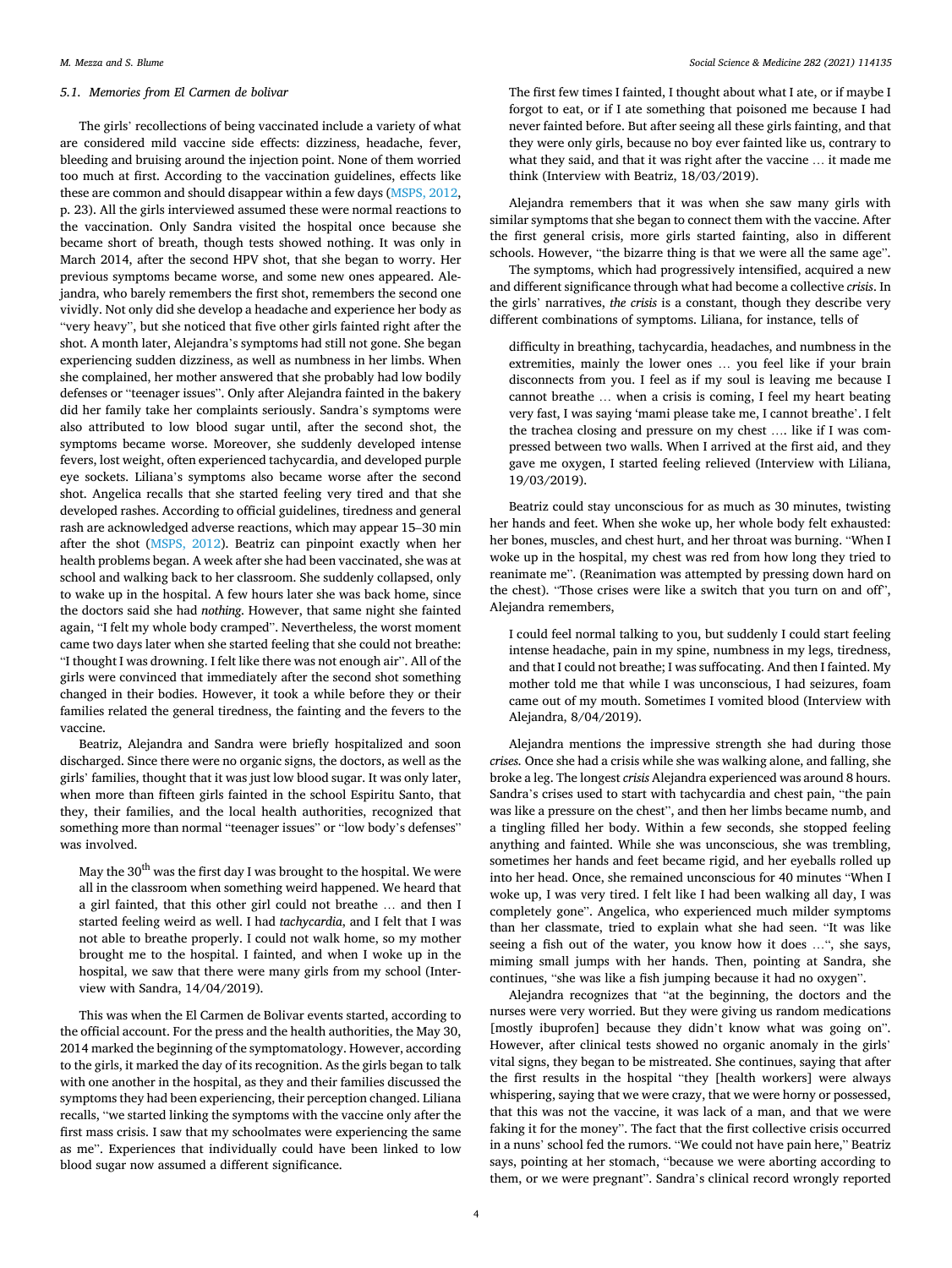## *5.1. Memories from El Carmen de bolivar*

The girls' recollections of being vaccinated include a variety of what are considered mild vaccine side effects: dizziness, headache, fever, bleeding and bruising around the injection point. None of them worried too much at first. According to the vaccination guidelines, effects like these are common and should disappear within a few days ([MSPS, 2012](#page-8-0), p. 23). All the girls interviewed assumed these were normal reactions to the vaccination. Only Sandra visited the hospital once because she became short of breath, though tests showed nothing. It was only in March 2014, after the second HPV shot, that she began to worry. Her previous symptoms became worse, and some new ones appeared. Alejandra, who barely remembers the first shot, remembers the second one vividly. Not only did she develop a headache and experience her body as "very heavy", but she noticed that five other girls fainted right after the shot. A month later, Alejandra's symptoms had still not gone. She began experiencing sudden dizziness, as well as numbness in her limbs. When she complained, her mother answered that she probably had low bodily defenses or "teenager issues". Only after Alejandra fainted in the bakery did her family take her complaints seriously. Sandra's symptoms were also attributed to low blood sugar until, after the second shot, the symptoms became worse. Moreover, she suddenly developed intense fevers, lost weight, often experienced tachycardia, and developed purple eye sockets. Liliana's symptoms also became worse after the second shot. Angelica recalls that she started feeling very tired and that she developed rashes. According to official guidelines, tiredness and general rash are acknowledged adverse reactions, which may appear 15–30 min after the shot [\(MSPS, 2012](#page-8-0)). Beatriz can pinpoint exactly when her health problems began. A week after she had been vaccinated, she was at school and walking back to her classroom. She suddenly collapsed, only to wake up in the hospital. A few hours later she was back home, since the doctors said she had *nothing*. However, that same night she fainted again, "I felt my whole body cramped". Nevertheless, the worst moment came two days later when she started feeling that she could not breathe: "I thought I was drowning. I felt like there was not enough air". All of the girls were convinced that immediately after the second shot something changed in their bodies. However, it took a while before they or their families related the general tiredness, the fainting and the fevers to the vaccine.

Beatriz, Alejandra and Sandra were briefly hospitalized and soon discharged. Since there were no organic signs, the doctors, as well as the girls' families, thought that it was just low blood sugar. It was only later, when more than fifteen girls fainted in the school Espiritu Santo, that they, their families, and the local health authorities, recognized that something more than normal "teenager issues" or "low body's defenses" was involved.

May the  $30^{\text{th}}$  was the first day I was brought to the hospital. We were all in the classroom when something weird happened. We heard that a girl fainted, that this other girl could not breathe … and then I started feeling weird as well. I had *tachycardia*, and I felt that I was not able to breathe properly. I could not walk home, so my mother brought me to the hospital. I fainted, and when I woke up in the hospital, we saw that there were many girls from my school (Interview with Sandra, 14/04/2019).

This was when the El Carmen de Bolivar events started, according to the official account. For the press and the health authorities, the May 30, 2014 marked the beginning of the symptomatology. However, according to the girls, it marked the day of its recognition. As the girls began to talk with one another in the hospital, as they and their families discussed the symptoms they had been experiencing, their perception changed. Liliana recalls, "we started linking the symptoms with the vaccine only after the first mass crisis. I saw that my schoolmates were experiencing the same as me". Experiences that individually could have been linked to low blood sugar now assumed a different significance.

The first few times I fainted, I thought about what I ate, or if maybe I forgot to eat, or if I ate something that poisoned me because I had never fainted before. But after seeing all these girls fainting, and that they were only girls, because no boy ever fainted like us, contrary to what they said, and that it was right after the vaccine … it made me think (Interview with Beatriz, 18/03/2019).

Alejandra remembers that it was when she saw many girls with similar symptoms that she began to connect them with the vaccine. After the first general crisis, more girls started fainting, also in different schools. However, "the bizarre thing is that we were all the same age".

The symptoms, which had progressively intensified, acquired a new and different significance through what had become a collective *crisis*. In the girls' narratives, *the crisis* is a constant, though they describe very different combinations of symptoms. Liliana, for instance, tells of

difficulty in breathing, tachycardia, headaches, and numbness in the extremities, mainly the lower ones … you feel like if your brain disconnects from you. I feel as if my soul is leaving me because I cannot breathe … when a crisis is coming, I feel my heart beating very fast, I was saying 'mami please take me, I cannot breathe'. I felt the trachea closing and pressure on my chest …. like if I was compressed between two walls. When I arrived at the first aid, and they gave me oxygen, I started feeling relieved (Interview with Liliana, 19/03/2019).

Beatriz could stay unconscious for as much as 30 minutes, twisting her hands and feet. When she woke up, her whole body felt exhausted: her bones, muscles, and chest hurt, and her throat was burning. "When I woke up in the hospital, my chest was red from how long they tried to reanimate me". (Reanimation was attempted by pressing down hard on the chest). "Those crises were like a switch that you turn on and off", Alejandra remembers,

I could feel normal talking to you, but suddenly I could start feeling intense headache, pain in my spine, numbness in my legs, tiredness, and that I could not breathe; I was suffocating. And then I fainted. My mother told me that while I was unconscious, I had seizures, foam came out of my mouth. Sometimes I vomited blood (Interview with Alejandra, 8/04/2019).

Alejandra mentions the impressive strength she had during those *crises.* Once she had a crisis while she was walking alone, and falling, she broke a leg. The longest *crisis* Alejandra experienced was around 8 hours. Sandra's crises used to start with tachycardia and chest pain, "the pain was like a pressure on the chest", and then her limbs became numb, and a tingling filled her body. Within a few seconds, she stopped feeling anything and fainted. While she was unconscious, she was trembling, sometimes her hands and feet became rigid, and her eyeballs rolled up into her head. Once, she remained unconscious for 40 minutes "When I woke up, I was very tired. I felt like I had been walking all day, I was completely gone". Angelica, who experienced much milder symptoms than her classmate, tried to explain what she had seen. "It was like seeing a fish out of the water, you know how it does …", she says, miming small jumps with her hands. Then, pointing at Sandra, she continues, "she was like a fish jumping because it had no oxygen".

Alejandra recognizes that "at the beginning, the doctors and the nurses were very worried. But they were giving us random medications [mostly ibuprofen] because they didn't know what was going on". However, after clinical tests showed no organic anomaly in the girls' vital signs, they began to be mistreated. She continues, saying that after the first results in the hospital "they [health workers] were always whispering, saying that we were crazy, that we were horny or possessed, that this was not the vaccine, it was lack of a man, and that we were faking it for the money". The fact that the first collective crisis occurred in a nuns' school fed the rumors. "We could not have pain here," Beatriz says, pointing at her stomach, "because we were aborting according to them, or we were pregnant". Sandra's clinical record wrongly reported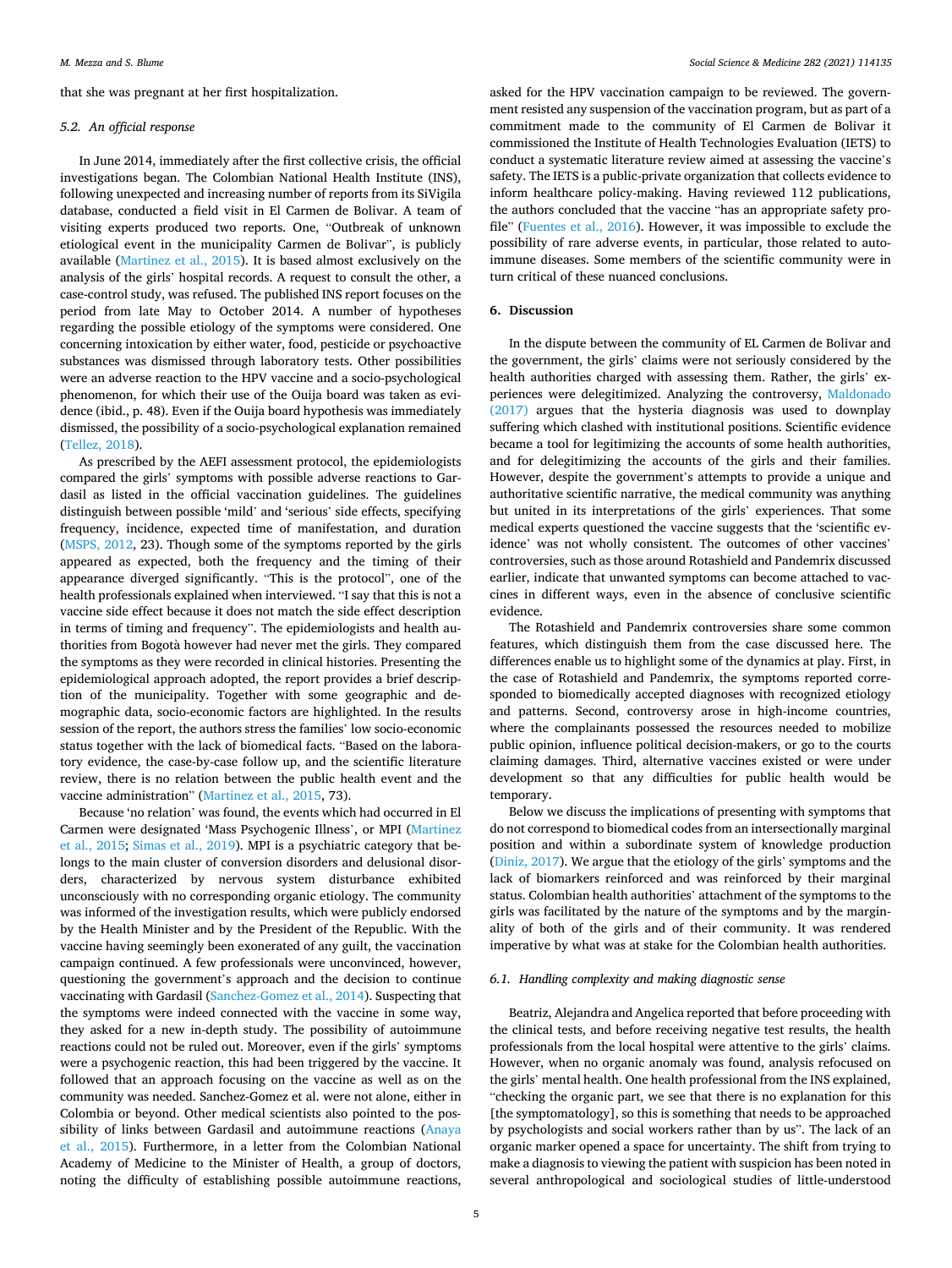that she was pregnant at her first hospitalization.

### *5.2. An official response*

In June 2014, immediately after the first collective crisis, the official investigations began. The Colombian National Health Institute (INS), following unexpected and increasing number of reports from its SiVigila database, conducted a field visit in El Carmen de Bolivar. A team of visiting experts produced two reports. One, "Outbreak of unknown etiological event in the municipality Carmen de Bolivar", is publicly available [\(Martinez et al., 2015\)](#page-8-0). It is based almost exclusively on the analysis of the girls' hospital records. A request to consult the other, a case-control study, was refused. The published INS report focuses on the period from late May to October 2014. A number of hypotheses regarding the possible etiology of the symptoms were considered. One concerning intoxication by either water, food, pesticide or psychoactive substances was dismissed through laboratory tests. Other possibilities were an adverse reaction to the HPV vaccine and a socio-psychological phenomenon, for which their use of the Ouija board was taken as evidence (ibid., p. 48). Even if the Ouija board hypothesis was immediately dismissed, the possibility of a socio-psychological explanation remained ([Tellez, 2018](#page-8-0)).

As prescribed by the AEFI assessment protocol, the epidemiologists compared the girls' symptoms with possible adverse reactions to Gardasil as listed in the official vaccination guidelines. The guidelines distinguish between possible 'mild' and 'serious' side effects, specifying frequency, incidence, expected time of manifestation, and duration ([MSPS, 2012](#page-8-0), 23). Though some of the symptoms reported by the girls appeared as expected, both the frequency and the timing of their appearance diverged significantly. "This is the protocol", one of the health professionals explained when interviewed. "I say that this is not a vaccine side effect because it does not match the side effect description in terms of timing and frequency". The epidemiologists and health authorities from Bogotà however had never met the girls. They compared the symptoms as they were recorded in clinical histories. Presenting the epidemiological approach adopted, the report provides a brief description of the municipality. Together with some geographic and demographic data, socio-economic factors are highlighted. In the results session of the report, the authors stress the families' low socio-economic status together with the lack of biomedical facts. "Based on the laboratory evidence, the case-by-case follow up, and the scientific literature review, there is no relation between the public health event and the vaccine administration" [\(Martinez et al., 2015](#page-8-0), 73).

Because 'no relation' was found, the events which had occurred in El Carmen were designated 'Mass Psychogenic Illness', or MPI [\(Martinez](#page-8-0)  [et al., 2015](#page-8-0); [Simas et al., 2019](#page-8-0)). MPI is a psychiatric category that belongs to the main cluster of conversion disorders and delusional disorders, characterized by nervous system disturbance exhibited unconsciously with no corresponding organic etiology. The community was informed of the investigation results, which were publicly endorsed by the Health Minister and by the President of the Republic. With the vaccine having seemingly been exonerated of any guilt, the vaccination campaign continued. A few professionals were unconvinced, however, questioning the government's approach and the decision to continue vaccinating with Gardasil ([Sanchez-Gomez et al., 2014\)](#page-8-0). Suspecting that the symptoms were indeed connected with the vaccine in some way, they asked for a new in-depth study. The possibility of autoimmune reactions could not be ruled out. Moreover, even if the girls' symptoms were a psychogenic reaction, this had been triggered by the vaccine. It followed that an approach focusing on the vaccine as well as on the community was needed. Sanchez-Gomez et al. were not alone, either in Colombia or beyond. Other medical scientists also pointed to the possibility of links between Gardasil and autoimmune reactions [\(Anaya](#page-7-0)  [et al., 2015\)](#page-7-0). Furthermore, in a letter from the Colombian National Academy of Medicine to the Minister of Health, a group of doctors, noting the difficulty of establishing possible autoimmune reactions,

asked for the HPV vaccination campaign to be reviewed. The government resisted any suspension of the vaccination program, but as part of a commitment made to the community of El Carmen de Bolivar it commissioned the Institute of Health Technologies Evaluation (IETS) to conduct a systematic literature review aimed at assessing the vaccine's safety. The IETS is a public-private organization that collects evidence to inform healthcare policy-making. Having reviewed 112 publications, the authors concluded that the vaccine "has an appropriate safety profile" [\(Fuentes et al., 2016\)](#page-7-0). However, it was impossible to exclude the possibility of rare adverse events, in particular, those related to autoimmune diseases. Some members of the scientific community were in turn critical of these nuanced conclusions.

#### **6. Discussion**

In the dispute between the community of EL Carmen de Bolivar and the government, the girls' claims were not seriously considered by the health authorities charged with assessing them. Rather, the girls' experiences were delegitimized. Analyzing the controversy, [Maldonado](#page-8-0)  [\(2017\)](#page-8-0) argues that the hysteria diagnosis was used to downplay suffering which clashed with institutional positions. Scientific evidence became a tool for legitimizing the accounts of some health authorities, and for delegitimizing the accounts of the girls and their families. However, despite the government's attempts to provide a unique and authoritative scientific narrative, the medical community was anything but united in its interpretations of the girls' experiences. That some medical experts questioned the vaccine suggests that the 'scientific evidence' was not wholly consistent. The outcomes of other vaccines' controversies, such as those around Rotashield and Pandemrix discussed earlier, indicate that unwanted symptoms can become attached to vaccines in different ways, even in the absence of conclusive scientific evidence.

The Rotashield and Pandemrix controversies share some common features, which distinguish them from the case discussed here. The differences enable us to highlight some of the dynamics at play. First, in the case of Rotashield and Pandemrix, the symptoms reported corresponded to biomedically accepted diagnoses with recognized etiology and patterns. Second, controversy arose in high-income countries, where the complainants possessed the resources needed to mobilize public opinion, influence political decision-makers, or go to the courts claiming damages. Third, alternative vaccines existed or were under development so that any difficulties for public health would be temporary.

Below we discuss the implications of presenting with symptoms that do not correspond to biomedical codes from an intersectionally marginal position and within a subordinate system of knowledge production ([Diniz, 2017](#page-7-0)). We argue that the etiology of the girls' symptoms and the lack of biomarkers reinforced and was reinforced by their marginal status. Colombian health authorities' attachment of the symptoms to the girls was facilitated by the nature of the symptoms and by the marginality of both of the girls and of their community. It was rendered imperative by what was at stake for the Colombian health authorities.

### *6.1. Handling complexity and making diagnostic sense*

Beatriz, Alejandra and Angelica reported that before proceeding with the clinical tests, and before receiving negative test results, the health professionals from the local hospital were attentive to the girls' claims. However, when no organic anomaly was found, analysis refocused on the girls' mental health. One health professional from the INS explained, "checking the organic part, we see that there is no explanation for this [the symptomatology], so this is something that needs to be approached by psychologists and social workers rather than by us". The lack of an organic marker opened a space for uncertainty. The shift from trying to make a diagnosis to viewing the patient with suspicion has been noted in several anthropological and sociological studies of little-understood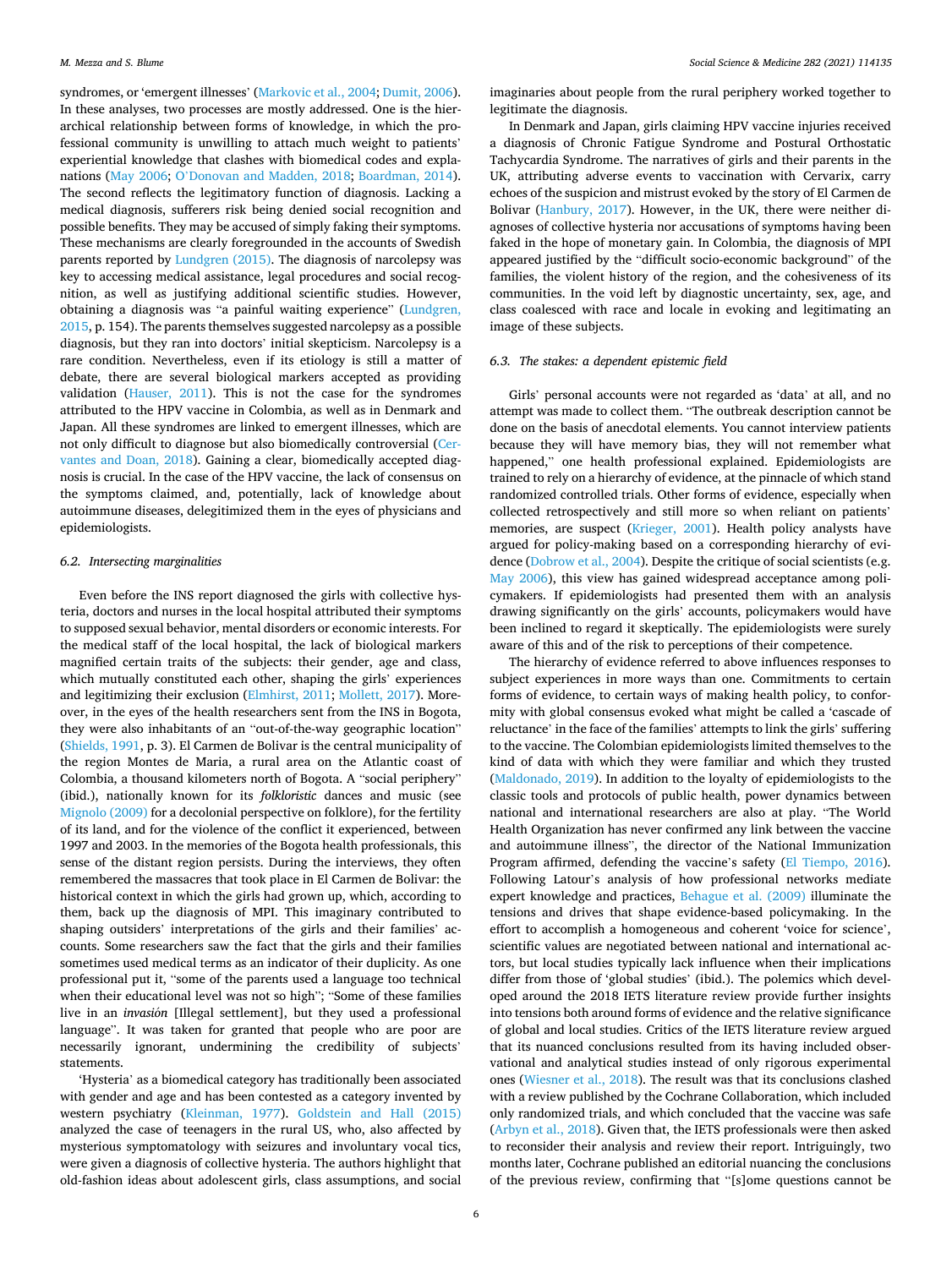syndromes, or 'emergent illnesses' ([Markovic et al., 2004;](#page-8-0) [Dumit, 2006](#page-7-0)). In these analyses, two processes are mostly addressed. One is the hierarchical relationship between forms of knowledge, in which the professional community is unwilling to attach much weight to patients' experiential knowledge that clashes with biomedical codes and explanations ([May 2006;](#page-8-0) O'[Donovan and Madden, 2018;](#page-8-0) [Boardman, 2014](#page-7-0)). The second reflects the legitimatory function of diagnosis. Lacking a medical diagnosis, sufferers risk being denied social recognition and possible benefits. They may be accused of simply faking their symptoms. These mechanisms are clearly foregrounded in the accounts of Swedish parents reported by [Lundgren \(2015\).](#page-8-0) The diagnosis of narcolepsy was key to accessing medical assistance, legal procedures and social recognition, as well as justifying additional scientific studies. However, obtaining a diagnosis was "a painful waiting experience" ([Lundgren,](#page-8-0)  [2015,](#page-8-0) p. 154). The parents themselves suggested narcolepsy as a possible diagnosis, but they ran into doctors' initial skepticism. Narcolepsy is a rare condition. Nevertheless, even if its etiology is still a matter of debate, there are several biological markers accepted as providing validation ([Hauser, 2011](#page-8-0)). This is not the case for the syndromes attributed to the HPV vaccine in Colombia, as well as in Denmark and Japan. All these syndromes are linked to emergent illnesses, which are not only difficult to diagnose but also biomedically controversial [\(Cer](#page-7-0)[vantes and Doan, 2018\)](#page-7-0). Gaining a clear, biomedically accepted diagnosis is crucial. In the case of the HPV vaccine, the lack of consensus on the symptoms claimed, and, potentially, lack of knowledge about autoimmune diseases, delegitimized them in the eyes of physicians and epidemiologists.

### *6.2. Intersecting marginalities*

Even before the INS report diagnosed the girls with collective hysteria, doctors and nurses in the local hospital attributed their symptoms to supposed sexual behavior, mental disorders or economic interests. For the medical staff of the local hospital, the lack of biological markers magnified certain traits of the subjects: their gender, age and class, which mutually constituted each other, shaping the girls' experiences and legitimizing their exclusion [\(Elmhirst, 2011](#page-7-0); [Mollett, 2017](#page-8-0)). Moreover, in the eyes of the health researchers sent from the INS in Bogota, they were also inhabitants of an "out-of-the-way geographic location" ([Shields, 1991,](#page-8-0) p. 3). El Carmen de Bolivar is the central municipality of the region Montes de Maria, a rural area on the Atlantic coast of Colombia, a thousand kilometers north of Bogota. A "social periphery" (ibid.), nationally known for its *folkloristic* dances and music (see [Mignolo \(2009\)](#page-8-0) for a decolonial perspective on folklore), for the fertility of its land, and for the violence of the conflict it experienced, between 1997 and 2003. In the memories of the Bogota health professionals, this sense of the distant region persists. During the interviews, they often remembered the massacres that took place in El Carmen de Bolivar: the historical context in which the girls had grown up, which, according to them, back up the diagnosis of MPI. This imaginary contributed to shaping outsiders' interpretations of the girls and their families' accounts. Some researchers saw the fact that the girls and their families sometimes used medical terms as an indicator of their duplicity. As one professional put it, "some of the parents used a language too technical when their educational level was not so high"; "Some of these families live in an *invasión* [Illegal settlement], but they used a professional language". It was taken for granted that people who are poor are necessarily ignorant, undermining the credibility of subjects' statements.

'Hysteria' as a biomedical category has traditionally been associated with gender and age and has been contested as a category invented by western psychiatry [\(Kleinman, 1977\)](#page-8-0). [Goldstein and Hall \(2015\)](#page-7-0)  analyzed the case of teenagers in the rural US, who, also affected by mysterious symptomatology with seizures and involuntary vocal tics, were given a diagnosis of collective hysteria. The authors highlight that old-fashion ideas about adolescent girls, class assumptions, and social

imaginaries about people from the rural periphery worked together to legitimate the diagnosis.

In Denmark and Japan, girls claiming HPV vaccine injuries received a diagnosis of Chronic Fatigue Syndrome and Postural Orthostatic Tachycardia Syndrome. The narratives of girls and their parents in the UK, attributing adverse events to vaccination with Cervarix, carry echoes of the suspicion and mistrust evoked by the story of El Carmen de Bolivar [\(Hanbury, 2017](#page-8-0)). However, in the UK, there were neither diagnoses of collective hysteria nor accusations of symptoms having been faked in the hope of monetary gain. In Colombia, the diagnosis of MPI appeared justified by the "difficult socio-economic background" of the families, the violent history of the region, and the cohesiveness of its communities. In the void left by diagnostic uncertainty, sex, age, and class coalesced with race and locale in evoking and legitimating an image of these subjects.

### *6.3. The stakes: a dependent epistemic field*

Girls' personal accounts were not regarded as 'data' at all, and no attempt was made to collect them. "The outbreak description cannot be done on the basis of anecdotal elements. You cannot interview patients because they will have memory bias, they will not remember what happened," one health professional explained. Epidemiologists are trained to rely on a hierarchy of evidence, at the pinnacle of which stand randomized controlled trials. Other forms of evidence, especially when collected retrospectively and still more so when reliant on patients' memories, are suspect ([Krieger, 2001\)](#page-8-0). Health policy analysts have argued for policy-making based on a corresponding hierarchy of evi-dence ([Dobrow et al., 2004\)](#page-7-0). Despite the critique of social scientists (e.g. [May 2006\)](#page-8-0), this view has gained widespread acceptance among policymakers. If epidemiologists had presented them with an analysis drawing significantly on the girls' accounts, policymakers would have been inclined to regard it skeptically. The epidemiologists were surely aware of this and of the risk to perceptions of their competence.

The hierarchy of evidence referred to above influences responses to subject experiences in more ways than one. Commitments to certain forms of evidence, to certain ways of making health policy, to conformity with global consensus evoked what might be called a 'cascade of reluctance' in the face of the families' attempts to link the girls' suffering to the vaccine. The Colombian epidemiologists limited themselves to the kind of data with which they were familiar and which they trusted ([Maldonado, 2019\)](#page-8-0). In addition to the loyalty of epidemiologists to the classic tools and protocols of public health, power dynamics between national and international researchers are also at play. "The World Health Organization has never confirmed any link between the vaccine and autoimmune illness", the director of the National Immunization Program affirmed, defending the vaccine's safety ([El Tiempo, 2016](#page-7-0)). Following Latour's analysis of how professional networks mediate expert knowledge and practices, [Behague et al. \(2009\)](#page-7-0) illuminate the tensions and drives that shape evidence-based policymaking. In the effort to accomplish a homogeneous and coherent 'voice for science', scientific values are negotiated between national and international actors, but local studies typically lack influence when their implications differ from those of 'global studies' (ibid.). The polemics which developed around the 2018 IETS literature review provide further insights into tensions both around forms of evidence and the relative significance of global and local studies. Critics of the IETS literature review argued that its nuanced conclusions resulted from its having included observational and analytical studies instead of only rigorous experimental ones [\(Wiesner et al., 2018](#page-8-0)). The result was that its conclusions clashed with a review published by the Cochrane Collaboration, which included only randomized trials, and which concluded that the vaccine was safe ([Arbyn et al., 2018](#page-7-0)). Given that, the IETS professionals were then asked to reconsider their analysis and review their report. Intriguingly, two months later, Cochrane published an editorial nuancing the conclusions of the previous review, confirming that "[s]ome questions cannot be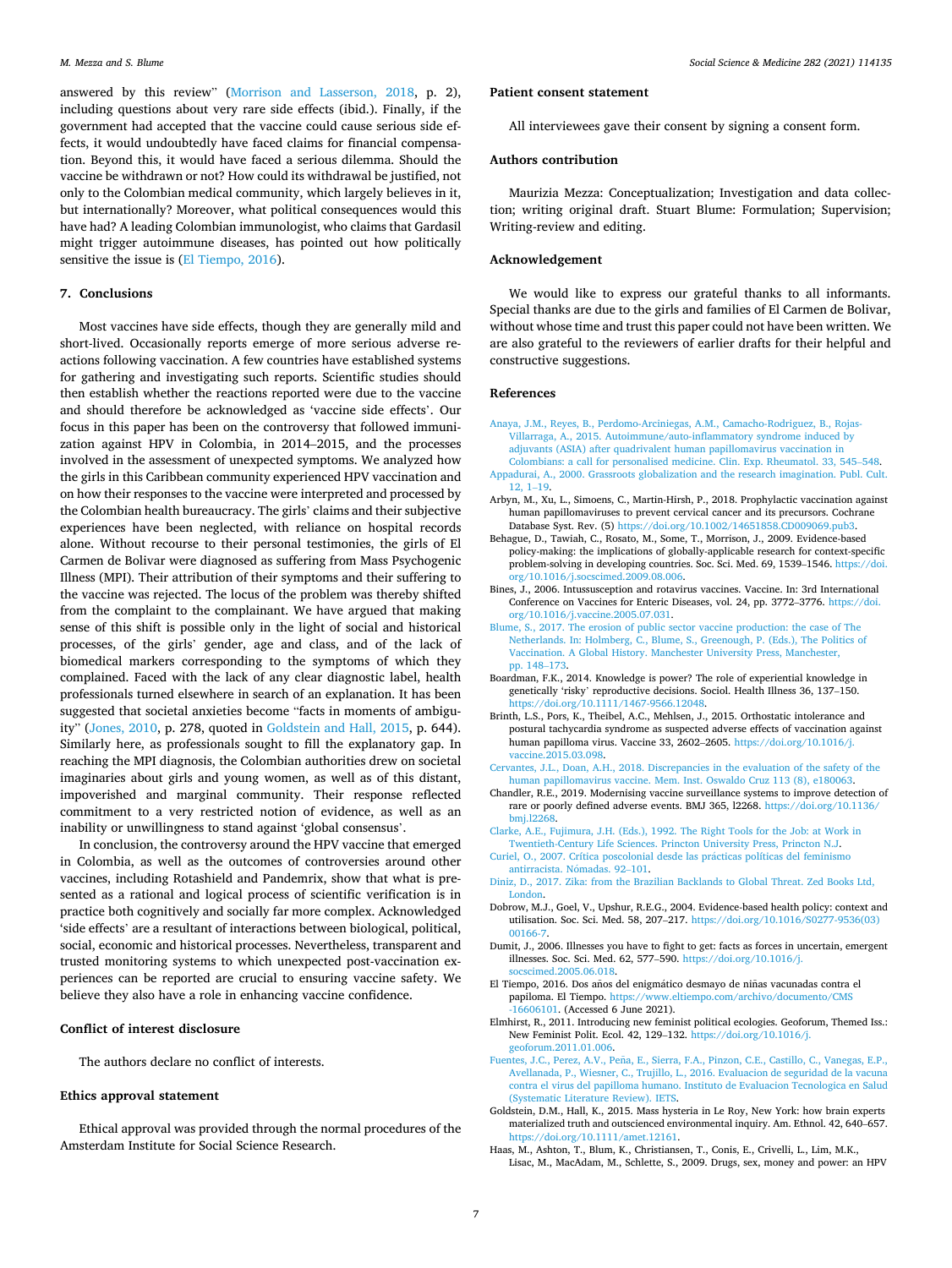<span id="page-7-0"></span>answered by this review" [\(Morrison and Lasserson, 2018](#page-8-0), p. 2), including questions about very rare side effects (ibid.). Finally, if the government had accepted that the vaccine could cause serious side effects, it would undoubtedly have faced claims for financial compensation. Beyond this, it would have faced a serious dilemma. Should the vaccine be withdrawn or not? How could its withdrawal be justified, not only to the Colombian medical community, which largely believes in it, but internationally? Moreover, what political consequences would this have had? A leading Colombian immunologist, who claims that Gardasil might trigger autoimmune diseases, has pointed out how politically sensitive the issue is (El Tiempo, 2016).

# **7. Conclusions**

Most vaccines have side effects, though they are generally mild and short-lived. Occasionally reports emerge of more serious adverse reactions following vaccination. A few countries have established systems for gathering and investigating such reports. Scientific studies should then establish whether the reactions reported were due to the vaccine and should therefore be acknowledged as 'vaccine side effects'. Our focus in this paper has been on the controversy that followed immunization against HPV in Colombia, in 2014–2015, and the processes involved in the assessment of unexpected symptoms. We analyzed how the girls in this Caribbean community experienced HPV vaccination and on how their responses to the vaccine were interpreted and processed by the Colombian health bureaucracy. The girls' claims and their subjective experiences have been neglected, with reliance on hospital records alone. Without recourse to their personal testimonies, the girls of El Carmen de Bolivar were diagnosed as suffering from Mass Psychogenic Illness (MPI). Their attribution of their symptoms and their suffering to the vaccine was rejected. The locus of the problem was thereby shifted from the complaint to the complainant. We have argued that making sense of this shift is possible only in the light of social and historical processes, of the girls' gender, age and class, and of the lack of biomedical markers corresponding to the symptoms of which they complained. Faced with the lack of any clear diagnostic label, health professionals turned elsewhere in search of an explanation. It has been suggested that societal anxieties become "facts in moments of ambiguity" [\(Jones, 2010,](#page-8-0) p. 278, quoted in Goldstein and Hall, 2015, p. 644). Similarly here, as professionals sought to fill the explanatory gap. In reaching the MPI diagnosis, the Colombian authorities drew on societal imaginaries about girls and young women, as well as of this distant, impoverished and marginal community. Their response reflected commitment to a very restricted notion of evidence, as well as an inability or unwillingness to stand against 'global consensus'.

In conclusion, the controversy around the HPV vaccine that emerged in Colombia, as well as the outcomes of controversies around other vaccines, including Rotashield and Pandemrix, show that what is presented as a rational and logical process of scientific verification is in practice both cognitively and socially far more complex. Acknowledged 'side effects' are a resultant of interactions between biological, political, social, economic and historical processes. Nevertheless, transparent and trusted monitoring systems to which unexpected post-vaccination experiences can be reported are crucial to ensuring vaccine safety. We believe they also have a role in enhancing vaccine confidence.

### **Conflict of interest disclosure**

The authors declare no conflict of interests.

### **Ethics approval statement**

Ethical approval was provided through the normal procedures of the Amsterdam Institute for Social Science Research.

#### **Patient consent statement**

All interviewees gave their consent by signing a consent form.

### **Authors contribution**

Maurizia Mezza: Conceptualization; Investigation and data collection; writing original draft. Stuart Blume: Formulation; Supervision; Writing-review and editing.

# **Acknowledgement**

We would like to express our grateful thanks to all informants. Special thanks are due to the girls and families of El Carmen de Bolivar, without whose time and trust this paper could not have been written. We are also grateful to the reviewers of earlier drafts for their helpful and constructive suggestions.

## **References**

[12, 1](http://refhub.elsevier.com/S0277-9536(21)00467-6/sref2)–19.

[Anaya, J.M., Reyes, B., Perdomo-Arciniegas, A.M., Camacho-Rodriguez, B., Rojas-](http://refhub.elsevier.com/S0277-9536(21)00467-6/sref1)[Villarraga, A., 2015. Autoimmune/auto-inflammatory syndrome induced by](http://refhub.elsevier.com/S0277-9536(21)00467-6/sref1)  [adjuvants \(ASIA\) after quadrivalent human papillomavirus vaccination in](http://refhub.elsevier.com/S0277-9536(21)00467-6/sref1) [Colombians: a call for personalised medicine. Clin. Exp. Rheumatol. 33, 545](http://refhub.elsevier.com/S0277-9536(21)00467-6/sref1)–548. [Appadurai, A., 2000. Grassroots globalization and the research imagination. Publ. Cult.](http://refhub.elsevier.com/S0277-9536(21)00467-6/sref2) 

- Arbyn, M., Xu, L., Simoens, C., Martin-Hirsh, P., 2018. Prophylactic vaccination against human papillomaviruses to prevent cervical cancer and its precursors. Cochrane Database Syst. Rev. (5) [https://doi.org/10.1002/14651858.CD009069.pub3.](https://doi.org/10.1002/14651858.CD009069.pub3)
- Behague, D., Tawiah, C., Rosato, M., Some, T., Morrison, J., 2009. Evidence-based policy-making: the implications of globally-applicable research for context-specific problem-solving in developing countries. Soc. Sci. Med. 69, 1539–1546. [https://doi.](https://doi.org/10.1016/j.socscimed.2009.08.006)  [org/10.1016/j.socscimed.2009.08.006](https://doi.org/10.1016/j.socscimed.2009.08.006).
- Bines, J., 2006. Intussusception and rotavirus vaccines. Vaccine. In: 3rd International Conference on Vaccines for Enteric Diseases, vol. 24, pp. 3772–3776. [https://doi.](https://doi.org/10.1016/j.vaccine.2005.07.031) [org/10.1016/j.vaccine.2005.07.031.](https://doi.org/10.1016/j.vaccine.2005.07.031)
- [Blume, S., 2017. The erosion of public sector vaccine production: the case of The](http://refhub.elsevier.com/S0277-9536(21)00467-6/sref6)  [Netherlands. In: Holmberg, C., Blume, S., Greenough, P. \(Eds.\), The Politics of](http://refhub.elsevier.com/S0277-9536(21)00467-6/sref6) [Vaccination. A Global History. Manchester University Press, Manchester,](http://refhub.elsevier.com/S0277-9536(21)00467-6/sref6) [pp. 148](http://refhub.elsevier.com/S0277-9536(21)00467-6/sref6)–173.
- Boardman, F.K., 2014. Knowledge is power? The role of experiential knowledge in genetically 'risky' reproductive decisions. Sociol. Health Illness 36, 137–150. [https://doi.org/10.1111/1467-9566.12048.](https://doi.org/10.1111/1467-9566.12048)
- Brinth, L.S., Pors, K., Theibel, A.C., Mehlsen, J., 2015. Orthostatic intolerance and postural tachycardia syndrome as suspected adverse effects of vaccination against human papilloma virus. Vaccine 33, 2602–2605. [https://doi.org/10.1016/j.](https://doi.org/10.1016/j.vaccine.2015.03.098) [vaccine.2015.03.098](https://doi.org/10.1016/j.vaccine.2015.03.098).
- [Cervantes, J.L., Doan, A.H., 2018. Discrepancies in the evaluation of the safety of the](http://refhub.elsevier.com/S0277-9536(21)00467-6/sref10)  [human papillomavirus vaccine. Mem. Inst. Oswaldo Cruz 113 \(8\), e180063.](http://refhub.elsevier.com/S0277-9536(21)00467-6/sref10)
- Chandler, R.E., 2019. Modernising vaccine surveillance systems to improve detection of rare or poorly defined adverse events. BMJ 365, l2268. [https://doi.org/10.1136/](https://doi.org/10.1136/bmj.l2268) [bmj.l2268](https://doi.org/10.1136/bmj.l2268).
- [Clarke, A.E., Fujimura, J.H. \(Eds.\), 1992. The Right Tools for the Job: at Work in](http://refhub.elsevier.com/S0277-9536(21)00467-6/sref12) [Twentieth-Century Life Sciences. Princton University Press, Princton N.J](http://refhub.elsevier.com/S0277-9536(21)00467-6/sref12).
- [Curiel, O., 2007. Crítica poscolonial desde las pr](http://refhub.elsevier.com/S0277-9536(21)00467-6/sref13)ácticas políticas del feminismo antirracista. Nómadas. 92-101.
- [Diniz, D., 2017. Zika: from the Brazilian Backlands to Global Threat. Zed Books Ltd,](http://refhub.elsevier.com/S0277-9536(21)00467-6/sref14) [London.](http://refhub.elsevier.com/S0277-9536(21)00467-6/sref14)
- Dobrow, M.J., Goel, V., Upshur, R.E.G., 2004. Evidence-based health policy: context and utilisation. Soc. Sci. Med. 58, 207–217. [https://doi.org/10.1016/S0277-9536\(03\)](https://doi.org/10.1016/S0277-9536(03)00166-7)  [00166-7](https://doi.org/10.1016/S0277-9536(03)00166-7).
- Dumit, J., 2006. Illnesses you have to fight to get: facts as forces in uncertain, emergent illnesses. Soc. Sci. Med. 62, 577–590. [https://doi.org/10.1016/j.](https://doi.org/10.1016/j.socscimed.2005.06.018)  [socscimed.2005.06.018.](https://doi.org/10.1016/j.socscimed.2005.06.018)
- El Tiempo, 2016. Dos años del enigmático desmayo de niñas vacunadas contra el papiloma. El Tiempo. https://www.eltiempo.com/archivo/documento/CMS rww.eltiempo.com/archivo/documento/CMS [-16606101](https://www.eltiempo.com/archivo/documento/CMS-16606101). (Accessed 6 June 2021).
- Elmhirst, R., 2011. Introducing new feminist political ecologies. Geoforum, Themed Iss.: New Feminist Polit. Ecol. 42, 129–132. [https://doi.org/10.1016/j.](https://doi.org/10.1016/j.geoforum.2011.01.006)  [geoforum.2011.01.006](https://doi.org/10.1016/j.geoforum.2011.01.006).
- Fuentes, J.C., Perez, A.V., Peña, E., Sierra, F.A., Pinzon, C.E., Castillo, C., Vanegas, E.P., [Avellanada, P., Wiesner, C., Trujillo, L., 2016. Evaluacion de seguridad de la vacuna](http://refhub.elsevier.com/S0277-9536(21)00467-6/sref19)  [contra el virus del papilloma humano. Instituto de Evaluacion Tecnologica en Salud](http://refhub.elsevier.com/S0277-9536(21)00467-6/sref19)  [\(Systematic Literature Review\). IETS](http://refhub.elsevier.com/S0277-9536(21)00467-6/sref19).
- Goldstein, D.M., Hall, K., 2015. Mass hysteria in Le Roy, New York: how brain experts materialized truth and outscienced environmental inquiry. Am. Ethnol. 42, 640–657. <https://doi.org/10.1111/amet.12161>.
- Haas, M., Ashton, T., Blum, K., Christiansen, T., Conis, E., Crivelli, L., Lim, M.K., Lisac, M., MacAdam, M., Schlette, S., 2009. Drugs, sex, money and power: an HPV